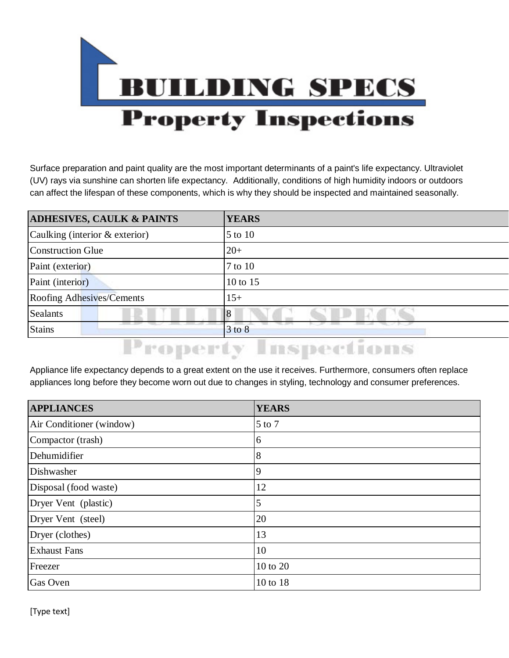

Surface preparation and paint quality are the most important determinants of a paint's life expectancy. Ultraviolet (UV) rays via sunshine can shorten life expectancy. Additionally, conditions of high humidity indoors or outdoors can affect the lifespan of these components, which is why they should be inspected and maintained seasonally.

| <b>ADHESIVES, CAULK &amp; PAINTS</b> | <b>YEARS</b> |
|--------------------------------------|--------------|
| Caulking (interior & exterior)       | 5 to 10      |
| <b>Construction Glue</b>             | $20+$        |
| Paint (exterior)                     | 7 to 10      |
| Paint (interior)                     | 10 to 15     |
| <b>Roofing Adhesives/Cements</b>     | $15+$        |
| Sealants                             | 8            |
| <b>Stains</b>                        | $3$ to $8$   |

## **Property Inspections**

Appliance life expectancy depends to a great extent on the use it receives. Furthermore, consumers often replace appliances long before they become worn out due to changes in styling, technology and consumer preferences.

| <b>APPLIANCES</b>        | <b>YEARS</b> |
|--------------------------|--------------|
| Air Conditioner (window) | 5 to 7       |
| Compactor (trash)        | 6            |
| Dehumidifier             | 8            |
| Dishwasher               | 9            |
| Disposal (food waste)    | 12           |
| Dryer Vent (plastic)     | 5            |
| Dryer Vent (steel)       | 20           |
| Dryer (clothes)          | 13           |
| <b>Exhaust Fans</b>      | 10           |
| Freezer                  | 10 to 20     |
| Gas Oven                 | 10 to 18     |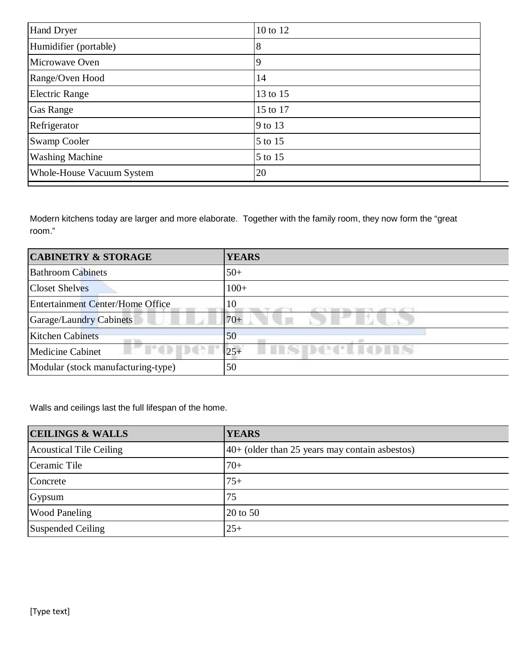| Hand Dryer                | 10 to 12 |
|---------------------------|----------|
| Humidifier (portable)     | 8        |
| Microwave Oven            | 9        |
| Range/Oven Hood           | 14       |
| Electric Range            | 13 to 15 |
| <b>Gas Range</b>          | 15 to 17 |
| Refrigerator              | 9 to 13  |
| <b>Swamp Cooler</b>       | 5 to 15  |
| <b>Washing Machine</b>    | 5 to 15  |
| Whole-House Vacuum System | 20       |

Modern kitchens today are larger and more elaborate. Together with the family room, they now form the "great room."

| <b>CABINETRY &amp; STORAGE</b>               | <b>YEARS</b>                 |
|----------------------------------------------|------------------------------|
| <b>Bathroom Cabinets</b>                     | $50+$                        |
| <b>Closet Shelves</b>                        | $100+$                       |
| <b>Entertainment Center/Home Office</b>      | 10                           |
| <b>Garage/Laundry Cabinets</b>               | $70+$                        |
| <b>Kitchen Cabinets</b>                      | 50                           |
| <b>I'd Bat I'</b><br><b>Medicine Cabinet</b> | <b>LISPections</b><br>$ 25+$ |
| Modular (stock manufacturing-type)           | 50                           |

Walls and ceilings last the full lifespan of the home.

| <b>CEILINGS &amp; WALLS</b>    | <b>YEARS</b>                                     |
|--------------------------------|--------------------------------------------------|
| <b>Acoustical Tile Ceiling</b> | $40+$ (older than 25 years may contain asbestos) |
| Ceramic Tile                   | $70+$                                            |
| Concrete                       | $75+$                                            |
| Gypsum                         | 75                                               |
| <b>Wood Paneling</b>           | $\vert$ 20 to 50                                 |
| Suspended Ceiling              | $25+$                                            |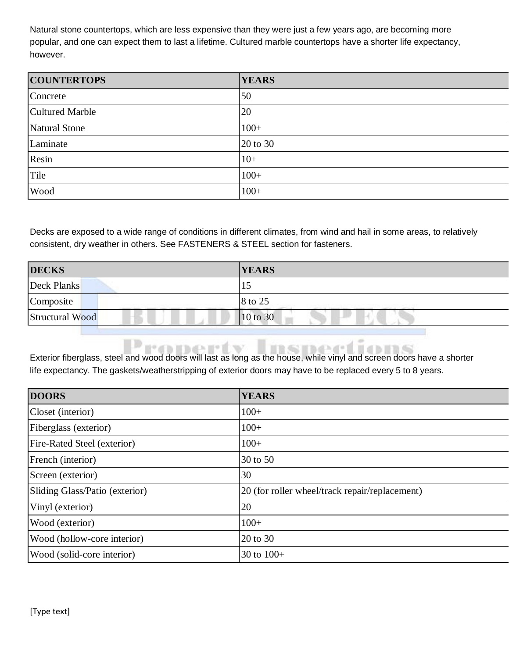Natural stone countertops, which are less expensive than they were just a few years ago, are becoming more popular, and one can expect them to last a lifetime. Cultured marble countertops have a shorter life expectancy, however.

| <b>COUNTERTOPS</b>     | <b>YEARS</b> |
|------------------------|--------------|
| Concrete               | 50           |
| <b>Cultured Marble</b> | 20           |
| Natural Stone          | $100+$       |
| Laminate               | 20 to 30     |
| Resin                  | $10+$        |
| Tile                   | $100+$       |
| Wood                   | $100+$       |

Decks are exposed to a wide range of conditions in different climates, from wind and hail in some areas, to relatively consistent, dry weather in others. See FASTENERS & STEEL section for fasteners.

| <b>DECKS</b>           | <b>YEARS</b>                                                                                   |
|------------------------|------------------------------------------------------------------------------------------------|
| Deck Planks            | 10                                                                                             |
| Composite              | 8 to 25<br>and the control of the property of the control of the control of the control of the |
| <b>Structural Wood</b> | $10$ to 30                                                                                     |

Exterior fiberglass, steel and wood doors will last as long as the house, while vinyl and screen doors have a shorter life expectancy. The gaskets/weatherstripping of exterior doors may have to be replaced every 5 to 8 years.

| <b>DOORS</b>                       | <b>YEARS</b>                                   |
|------------------------------------|------------------------------------------------|
| Closet (interior)                  | $100+$                                         |
| Fiberglass (exterior)              | $100+$                                         |
| <b>Fire-Rated Steel (exterior)</b> | $100+$                                         |
| French (interior)                  | 30 to 50                                       |
| Screen (exterior)                  | 30                                             |
| Sliding Glass/Patio (exterior)     | 20 (for roller wheel/track repair/replacement) |
| Vinyl (exterior)                   | 20                                             |
| Wood (exterior)                    | $100+$                                         |
| Wood (hollow-core interior)        | 20 to 30                                       |
| Wood (solid-core interior)         | 30 to $100+$                                   |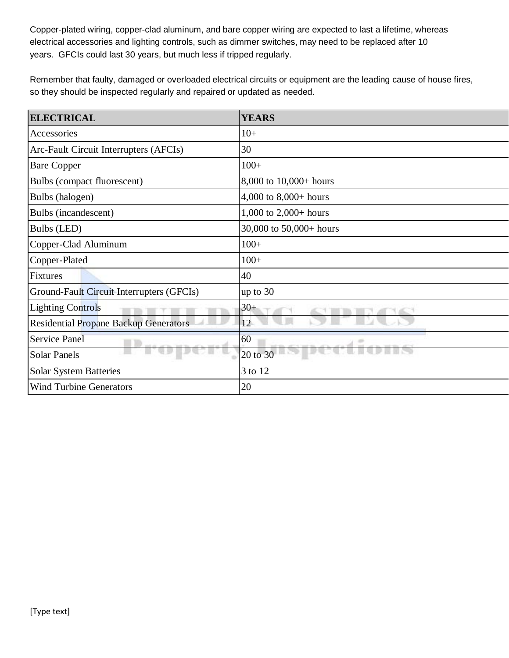Copper-plated wiring, copper-clad aluminum, and bare copper wiring are expected to last a lifetime, whereas electrical accessories and lighting controls, such as dimmer switches, may need to be replaced after 10 years. GFCIs could last 30 years, but much less if tripped regularly.

Remember that faulty, damaged or overloaded electrical circuits or equipment are the leading cause of house fires, so they should be inspected regularly and repaired or updated as needed.

| <b>ELECTRICAL</b>                            | <b>YEARS</b>            |
|----------------------------------------------|-------------------------|
| Accessories                                  | $10+$                   |
| Arc-Fault Circuit Interrupters (AFCIs)       | 30                      |
| <b>Bare Copper</b>                           | $100+$                  |
| Bulbs (compact fluorescent)                  | 8,000 to 10,000+ hours  |
| Bulbs (halogen)                              | 4,000 to $8,000+$ hours |
| Bulbs (incandescent)                         | 1,000 to $2,000+$ hours |
| Bulbs (LED)                                  | 30,000 to 50,000+ hours |
| Copper-Clad Aluminum                         | $100+$                  |
| Copper-Plated                                | $100+$                  |
| Fixtures                                     | 40                      |
| Ground-Fault Circuit Interrupters (GFCIs)    | up to 30                |
| <b>Lighting Controls</b>                     | $30+$                   |
| <b>Residential Propane Backup Generators</b> | 12                      |
| <b>Service Panel</b>                         | 60                      |
| <b>Solar Panels</b>                          | 20 to 30                |
| <b>Solar System Batteries</b>                | 3 to 12                 |
| <b>Wind Turbine Generators</b>               | 20                      |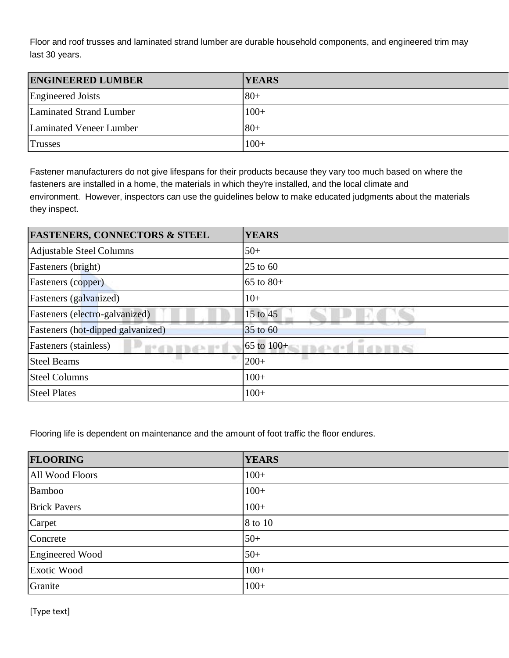Floor and roof trusses and laminated strand lumber are durable household components, and engineered trim may last 30 years.

| <b>ENGINEERED LUMBER</b> | <b>YEARS</b> |
|--------------------------|--------------|
| Engineered Joists        | $80+$        |
| Laminated Strand Lumber  | $100+$       |
| Laminated Veneer Lumber  | $80+$        |
| <b>Trusses</b>           | $100+$       |

Fastener manufacturers do not give lifespans for their products because they vary too much based on where the fasteners are installed in a home, the materials in which they're installed, and the local climate and environment. However, inspectors can use the guidelines below to make educated judgments about the materials they inspect.

| <b>FASTENERS, CONNECTORS &amp; STEEL</b> | <b>YEARS</b>              |
|------------------------------------------|---------------------------|
| <b>Adjustable Steel Columns</b>          | $50+$                     |
| Fasteners (bright)                       | $25$ to 60                |
| <b>Fasteners</b> (copper)                | 65 to $80+$               |
| <b>Fasteners</b> (galvanized)            | $10+$                     |
| Fasteners (electro-galvanized)           | 15 to 45                  |
| Fasteners (hot-dipped galvanized)        | 35 to 60                  |
| <b>Fasteners</b> (stainless)             | $65$ to $100+$<br>h all m |
| <b>Steel Beams</b>                       | $200+$                    |
| <b>Steel Columns</b>                     | $100+$                    |
| <b>Steel Plates</b>                      | $100+$                    |

Flooring life is dependent on maintenance and the amount of foot traffic the floor endures.

| <b>FLOORING</b>        | <b>YEARS</b> |
|------------------------|--------------|
| All Wood Floors        | $100+$       |
| <b>Bamboo</b>          | $100+$       |
| <b>Brick Pavers</b>    | $100+$       |
| Carpet                 | 8 to 10      |
| Concrete               | $50+$        |
| <b>Engineered Wood</b> | $50+$        |
| Exotic Wood            | $100+$       |
| Granite                | $100+$       |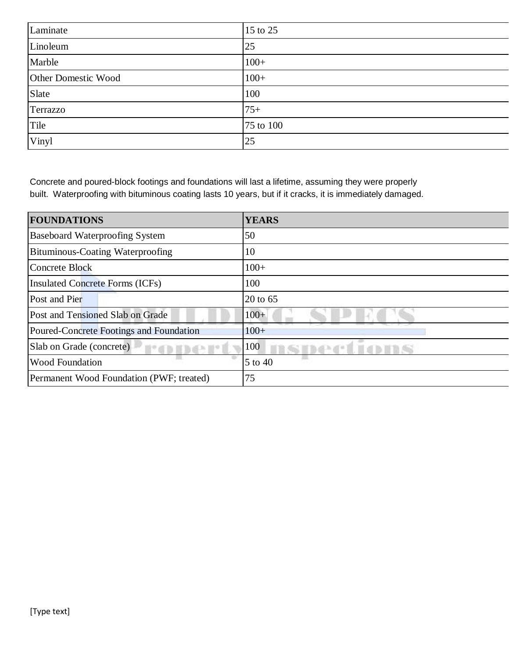| Laminate            | 15 to 25  |
|---------------------|-----------|
| Linoleum            | 25        |
| Marble              | $100+$    |
| Other Domestic Wood | $100+$    |
| Slate               | 100       |
| Terrazzo            | $75+$     |
| Tile                | 75 to 100 |
| Vinyl               | 25        |

Concrete and poured-block footings and foundations will last a lifetime, assuming they were properly built. Waterproofing with bituminous coating lasts 10 years, but if it cracks, it is immediately damaged.

| <b>FOUNDATIONS</b>                       | <b>YEARS</b> |
|------------------------------------------|--------------|
| <b>Baseboard Waterproofing System</b>    | 50           |
| <b>Bituminous-Coating Waterproofing</b>  | 10           |
| Concrete Block                           | $100+$       |
| <b>Insulated Concrete Forms (ICFs)</b>   | 100          |
| Post and Pier                            | 20 to 65     |
| Post and Tensioned Slab on Grade         | $100+$       |
| Poured-Concrete Footings and Foundation  | $100+$       |
| Slab on Grade (concrete)                 | 100          |
| <b>Wood Foundation</b>                   | 5 to 40      |
| Permanent Wood Foundation (PWF; treated) | 75           |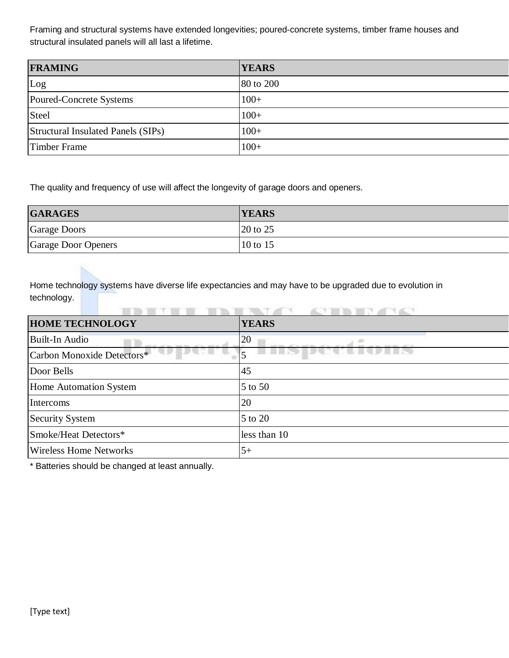Framing and structural systems have extended longevities; poured-concrete systems, timber frame houses and structural insulated panels will all last a lifetime.

| <b>FRAMING</b>                     | <b>YEARS</b> |
|------------------------------------|--------------|
| Log                                | 80 to 200    |
| Poured-Concrete Systems            | $100+$       |
| Steel                              | $100+$       |
| Structural Insulated Panels (SIPs) | $100+$       |
| Timber Frame                       | $100+$       |

The quality and frequency of use will affect the longevity of garage doors and openers.

| <b>GARAGES</b>      | <b>YEARS</b>                    |
|---------------------|---------------------------------|
| Garage Doors        | $\vert 20 \text{ to } 25 \vert$ |
| Garage Door Openers | $10$ to 15                      |

Home technology systems have diverse life expectancies and may have to be upgraded due to evolution in technology.

| <b>HOME TECHNOLOGY</b>        | <b>YEARS</b> |
|-------------------------------|--------------|
| Built-In Audio                | 20           |
| Carbon Monoxide Detectors*    |              |
| Door Bells                    | 45           |
| Home Automation System        | 5 to 50      |
| Intercoms                     | 20           |
| <b>Security System</b>        | 5 to 20      |
| Smoke/Heat Detectors*         | less than 10 |
| <b>Wireless Home Networks</b> | $5+$         |

\* Batteries should be changed at least annually.

İS.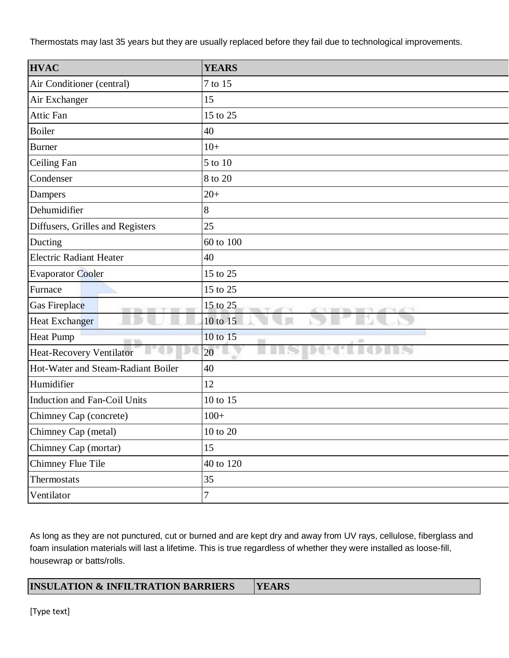Thermostats may last 35 years but they are usually replaced before they fail due to technological improvements.

| <b>HVAC</b>                                                             | <b>YEARS</b>                                                                     |
|-------------------------------------------------------------------------|----------------------------------------------------------------------------------|
| Air Conditioner (central)                                               | 7 to 15                                                                          |
| Air Exchanger                                                           | 15                                                                               |
| Attic Fan                                                               | 15 to 25                                                                         |
| <b>Boiler</b>                                                           | 40                                                                               |
| <b>Burner</b>                                                           | $10+$                                                                            |
| Ceiling Fan                                                             | 5 to 10                                                                          |
| Condenser                                                               | 8 to 20                                                                          |
| Dampers                                                                 | $20+$                                                                            |
| Dehumidifier                                                            | 8                                                                                |
| Diffusers, Grilles and Registers                                        | 25                                                                               |
| Ducting                                                                 | 60 to 100                                                                        |
| <b>Electric Radiant Heater</b>                                          | 40                                                                               |
| <b>Evaporator Cooler</b>                                                | 15 to 25                                                                         |
| Furnace                                                                 | 15 to 25                                                                         |
| Gas Fireplace<br><b>Service</b><br><b>THE</b><br>Ŧ<br><b>THE R</b><br>ш | 15 to 25<br>71<br>$\tau$<br><b>TELES</b><br>THE TELL<br><b>CONTRACTOR</b><br>on. |
| <b>Heat Exchanger</b>                                                   | 10 to 15                                                                         |
| <b>Heat Pump</b><br>$\blacksquare$                                      | 10 to 15<br>ш                                                                    |
| Heat-Recovery Ventilator                                                | 20<br>÷                                                                          |
| Hot-Water and Steam-Radiant Boiler                                      | 40                                                                               |
| Humidifier                                                              | 12                                                                               |
| <b>Induction and Fan-Coil Units</b>                                     | 10 to 15                                                                         |
| Chimney Cap (concrete)                                                  | $100+$                                                                           |
| Chimney Cap (metal)                                                     | 10 to 20                                                                         |
| Chimney Cap (mortar)                                                    | 15                                                                               |
| Chimney Flue Tile                                                       | 40 to 120                                                                        |
| Thermostats                                                             | 35                                                                               |
| Ventilator                                                              | $\overline{7}$                                                                   |

As long as they are not punctured, cut or burned and are kept dry and away from UV rays, cellulose, fiberglass and foam insulation materials will last a lifetime. This is true regardless of whether they were installed as loose-fill, housewrap or batts/rolls.

| <b>INSULATION &amp; INFILTRATION BARRIERS</b> | <b>YEARS</b> |
|-----------------------------------------------|--------------|
|-----------------------------------------------|--------------|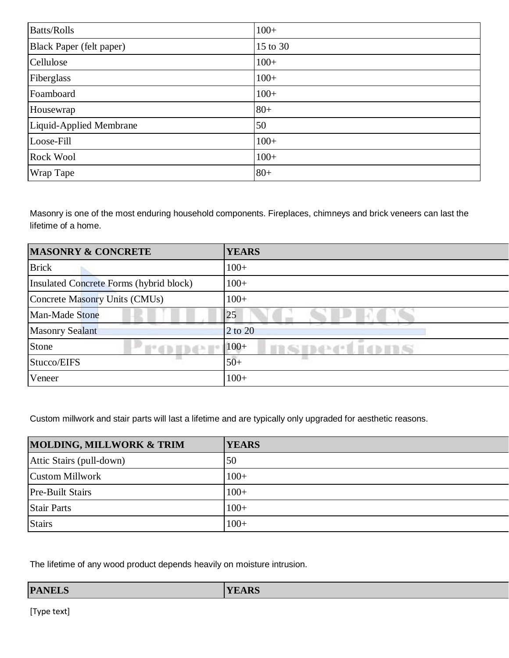| <b>Batts/Rolls</b>              | $100+$   |
|---------------------------------|----------|
| <b>Black Paper (felt paper)</b> | 15 to 30 |
| Cellulose                       | $100+$   |
| Fiberglass                      | $100+$   |
| Foamboard                       | $100+$   |
| Housewrap                       | $80+$    |
| Liquid-Applied Membrane         | 50       |
| Loose-Fill                      | $100+$   |
| Rock Wool                       | $100+$   |
| <b>Wrap Tape</b>                | $80+$    |

Masonry is one of the most enduring household components. Fireplaces, chimneys and brick veneers can last the lifetime of a home.

| <b>MASONRY &amp; CONCRETE</b>           | <b>YEARS</b>    |
|-----------------------------------------|-----------------|
| <b>Brick</b>                            | $100+$          |
| Insulated Concrete Forms (hybrid block) | $100+$          |
| Concrete Masonry Units (CMUs)           | $100+$          |
| Man-Made Stone                          | 25              |
| <b>Masonry Sealant</b>                  | 2 to 20         |
| Stone                                   | $100+$<br>取組み通り |
| Stucco/EIFS                             | $50+$           |
| Veneer                                  | $100+$          |

Custom millwork and stair parts will last a lifetime and are typically only upgraded for aesthetic reasons.

| <b>MOLDING, MILLWORK &amp; TRIM</b> | <b>YEARS</b> |
|-------------------------------------|--------------|
| Attic Stairs (pull-down)            | 50           |
| Custom Millwork                     | $100+$       |
| <b>Pre-Built Stairs</b>             | $100+$       |
| <b>Stair Parts</b>                  | $100+$       |
| <b>Stairs</b>                       | $100+$       |

The lifetime of any wood product depends heavily on moisture intrusion.

| <b>YEARS</b><br><b>PANELS</b> |  |
|-------------------------------|--|
|-------------------------------|--|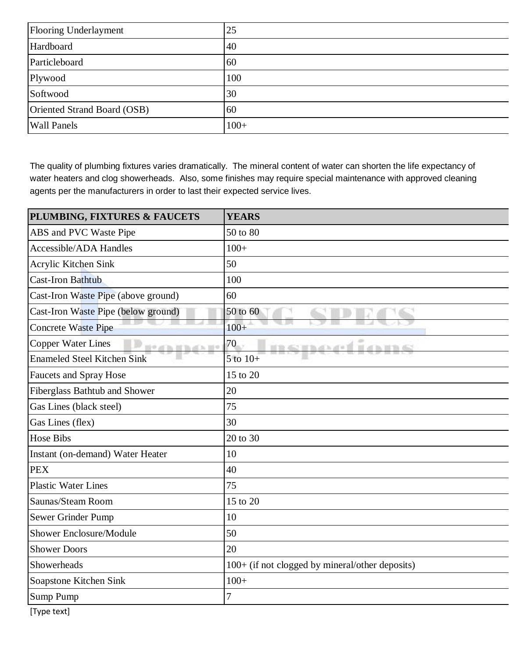| Flooring Underlayment       | 25     |
|-----------------------------|--------|
| Hardboard                   | 40     |
| Particleboard               | 60     |
| Plywood                     | 100    |
| Softwood                    | 30     |
| Oriented Strand Board (OSB) | 60     |
| <b>Wall Panels</b>          | $100+$ |

The quality of plumbing fixtures varies dramatically. The mineral content of water can shorten the life expectancy of water heaters and clog showerheads. Also, some finishes may require special maintenance with approved cleaning agents per the manufacturers in order to last their expected service lives.

| PLUMBING, FIXTURES & FAUCETS                    | <b>YEARS</b>                                    |
|-------------------------------------------------|-------------------------------------------------|
| ABS and PVC Waste Pipe                          | 50 to 80                                        |
| <b>Accessible/ADA Handles</b>                   | $100+$                                          |
| Acrylic Kitchen Sink                            | 50                                              |
| <b>Cast-Iron Bathtub</b>                        | 100                                             |
| Cast-Iron Waste Pipe (above ground)             | 60                                              |
| Cast-Iron Waste Pipe (below ground)             | 50 to 60                                        |
| <b>Concrete Waste Pipe</b>                      | $100+$                                          |
| <b>Copper Water Lines</b><br><b>N9 di h H h</b> | 70<br><b>WATER</b>                              |
| <b>Enameled Steel Kitchen Sink</b>              | $5$ to $10+$                                    |
| <b>Faucets and Spray Hose</b>                   | 15 to 20                                        |
| Fiberglass Bathtub and Shower                   | 20                                              |
| Gas Lines (black steel)                         | 75                                              |
| Gas Lines (flex)                                | 30                                              |
| <b>Hose Bibs</b>                                | 20 to 30                                        |
| Instant (on-demand) Water Heater                | 10                                              |
| <b>PEX</b>                                      | 40                                              |
| <b>Plastic Water Lines</b>                      | 75                                              |
| Saunas/Steam Room                               | 15 to 20                                        |
| Sewer Grinder Pump                              | 10                                              |
| <b>Shower Enclosure/Module</b>                  | 50                                              |
| <b>Shower Doors</b>                             | 20                                              |
| Showerheads                                     | 100+ (if not clogged by mineral/other deposits) |
| Soapstone Kitchen Sink                          | $100+$                                          |
| Sump Pump                                       | 7                                               |
| [Type text]                                     |                                                 |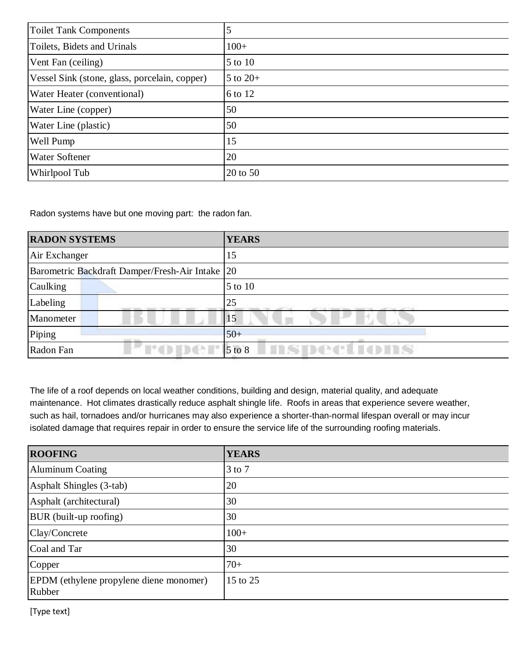| <b>Toilet Tank Components</b>                 |              |
|-----------------------------------------------|--------------|
| Toilets, Bidets and Urinals                   | $100+$       |
| Vent Fan (ceiling)                            | 5 to 10      |
| Vessel Sink (stone, glass, porcelain, copper) | $5$ to $20+$ |
| Water Heater (conventional)                   | 6 to 12      |
| Water Line (copper)                           | 50           |
| Water Line (plastic)                          | 50           |
| Well Pump                                     | 15           |
| <b>Water Softener</b>                         | 20           |
| Whirlpool Tub                                 | 20 to 50     |

Radon systems have but one moving part: the radon fan.

| <b>RADON SYSTEMS</b>                              | <b>YEARS</b>                                                                   |
|---------------------------------------------------|--------------------------------------------------------------------------------|
| Air Exchanger                                     | 15                                                                             |
| Barometric Backdraft Damper/Fresh-Air Intake   20 |                                                                                |
| <b>Caulking</b>                                   | $\vert 5 \text{ to } 10 \vert$                                                 |
| Labeling                                          | 25<br>the property of the control of<br>anno reserves reserve il agriculturale |
| Manometer                                         | 15                                                                             |
| Piping<br><b>THE TIME</b>                         | $50+$                                                                          |
| roper<br>Radon Fan                                | <b>BSDections</b><br>$5$ to $8$                                                |

The life of a roof depends on local weather conditions, building and design, material quality, and adequate maintenance. Hot climates drastically reduce asphalt shingle life. Roofs in areas that experience severe weather, such as hail, tornadoes and/or hurricanes may also experience a shorter-than-normal lifespan overall or may incur isolated damage that requires repair in order to ensure the service life of the surrounding roofing materials.

| <b>ROOFING</b>                                    | <b>YEARS</b> |
|---------------------------------------------------|--------------|
| <b>Aluminum Coating</b>                           | $3$ to $7$   |
| Asphalt Shingles (3-tab)                          | 20           |
| Asphalt (architectural)                           | 30           |
| <b>BUR</b> (built-up roofing)                     | 30           |
| Clay/Concrete                                     | $100+$       |
| Coal and Tar                                      | 30           |
| Copper                                            | $70+$        |
| EPDM (ethylene propylene diene monomer)<br>Rubber | 15 to 25     |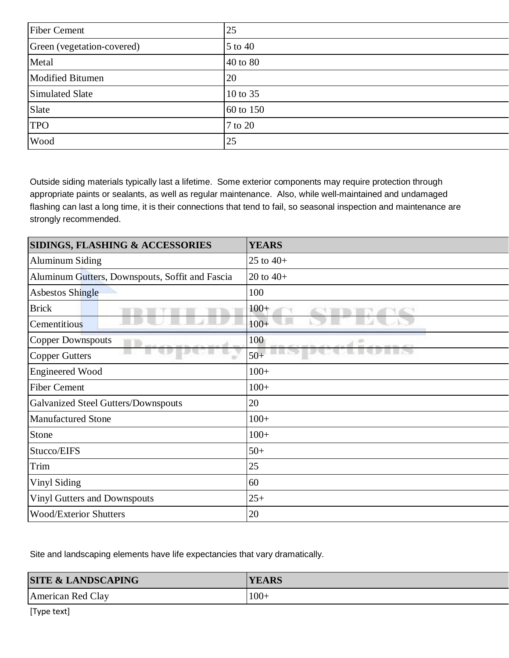| <b>Fiber Cement</b>        | 25        |
|----------------------------|-----------|
| Green (vegetation-covered) | 5 to 40   |
| Metal                      | 40 to 80  |
| <b>Modified Bitumen</b>    | 20        |
| Simulated Slate            | 10 to 35  |
| Slate                      | 60 to 150 |
| <b>TPO</b>                 | 7 to 20   |
| Wood                       | 25        |

Outside siding materials typically last a lifetime. Some exterior components may require protection through appropriate paints or sealants, as well as regular maintenance. Also, while well-maintained and undamaged flashing can last a long time, it is their connections that tend to fail, so seasonal inspection and maintenance are strongly recommended.

| <b>SIDINGS, FLASHING &amp; ACCESSORIES</b>      | <b>YEARS</b> |
|-------------------------------------------------|--------------|
| <b>Aluminum Siding</b>                          | 25 to $40+$  |
| Aluminum Gutters, Downspouts, Soffit and Fascia | 20 to $40+$  |
| <b>Asbestos Shingle</b>                         | 100          |
| <b>Brick</b>                                    | $100+$       |
| Cementitious                                    | $100+$       |
| <b>Copper Downspouts</b><br>m                   | 100<br>÷     |
| <b>Copper Gutters</b><br>÷                      | $50+$        |
| <b>Engineered Wood</b>                          | $100+$       |
| <b>Fiber Cement</b>                             | $100+$       |
| Galvanized Steel Gutters/Downspouts             | 20           |
| <b>Manufactured Stone</b>                       | $100+$       |
| Stone                                           | $100+$       |
| Stucco/EIFS                                     | $50+$        |
| Trim                                            | 25           |
| Vinyl Siding                                    | 60           |
| <b>Vinyl Gutters and Downspouts</b>             | $25+$        |
| <b>Wood/Exterior Shutters</b>                   | 20           |
|                                                 |              |

Site and landscaping elements have life expectancies that vary dramatically.

| <b>SITE &amp; LANDSCAPING</b> | <b>YEARS</b> |
|-------------------------------|--------------|
| American Red Clay             | $100+$       |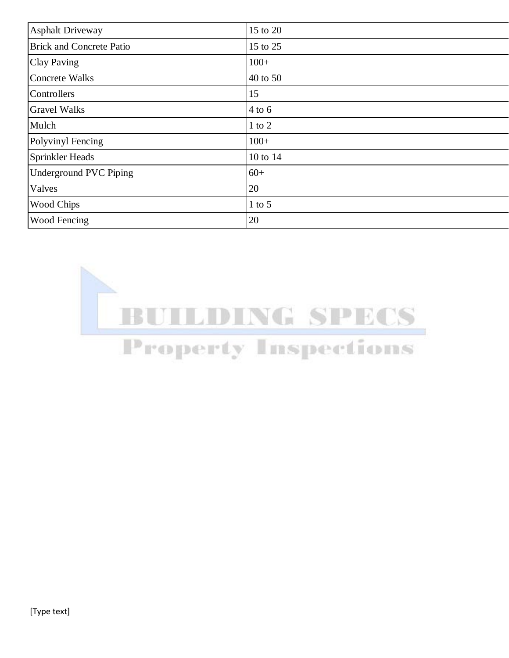| <b>Asphalt Driveway</b>         | 15 to 20   |
|---------------------------------|------------|
| <b>Brick and Concrete Patio</b> | 15 to 25   |
| <b>Clay Paving</b>              | $100+$     |
| <b>Concrete Walks</b>           | 40 to 50   |
| Controllers                     | 15         |
| <b>Gravel Walks</b>             | $4$ to 6   |
| Mulch                           | $1$ to $2$ |
| Polyvinyl Fencing               | $100+$     |
| <b>Sprinkler Heads</b>          | 10 to 14   |
| Underground PVC Piping          | $60+$      |
| Valves                          | 20         |
| <b>Wood Chips</b>               | $1$ to $5$ |
| Wood Fencing                    | 20         |